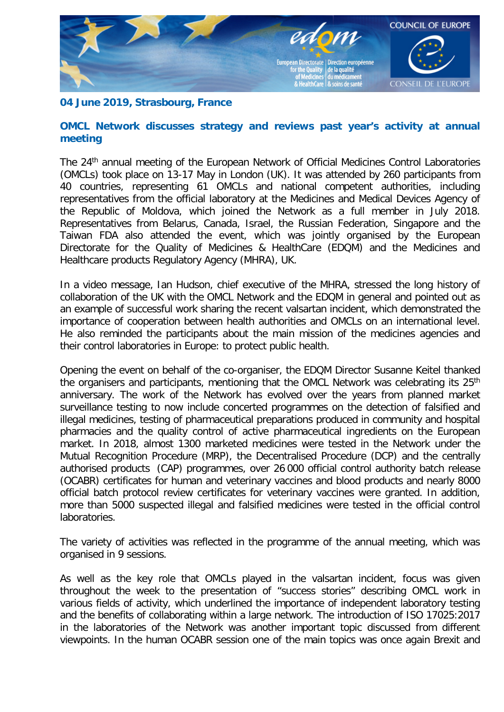

## **04 June 2019, Strasbourg, France**

## **OMCL Network discusses strategy and reviews past year's activity at annual meeting**

The 24<sup>th</sup> annual meeting of the European Network of Official Medicines Control Laboratories (OMCLs) took place on 13-17 May in London (UK). It was attended by 260 participants from 40 countries, representing 61 OMCLs and national competent authorities, including representatives from the official laboratory at the Medicines and Medical Devices Agency of the Republic of Moldova, which joined the Network as a full member in July 2018. Representatives from Belarus, Canada, Israel, the Russian Federation, Singapore and the Taiwan FDA also attended the event, which was jointly organised by the European Directorate for the Quality of Medicines & HealthCare (EDQM) and the Medicines and Healthcare products Regulatory Agency (MHRA), UK.

In a video message, Ian Hudson, chief executive of the MHRA, stressed the long history of collaboration of the UK with the OMCL Network and the EDQM in general and pointed out as an example of successful work sharing the recent valsartan incident, which demonstrated the importance of cooperation between health authorities and OMCLs on an international level. He also reminded the participants about the main mission of the medicines agencies and their control laboratories in Europe: to protect public health.

Opening the event on behalf of the co-organiser, the EDQM Director Susanne Keitel thanked the organisers and participants, mentioning that the OMCL Network was celebrating its 25<sup>th</sup> anniversary. The work of the Network has evolved over the years from planned market surveillance testing to now include concerted programmes on the detection of falsified and illegal medicines, testing of pharmaceutical preparations produced in community and hospital pharmacies and the quality control of active pharmaceutical ingredients on the European market. In 2018, almost 1300 marketed medicines were tested in the Network under the Mutual Recognition Procedure (MRP), the Decentralised Procedure (DCP) and the centrally authorised products (CAP) programmes, over 26 000 official control authority batch release (OCABR) certificates for human and veterinary vaccines and blood products and nearly 8000 official batch protocol review certificates for veterinary vaccines were granted. In addition, more than 5000 suspected illegal and falsified medicines were tested in the official control laboratories.

The variety of activities was reflected in the programme of the annual meeting, which was organised in 9 sessions.

As well as the key role that OMCLs played in the valsartan incident, focus was given throughout the week to the presentation of "success stories" describing OMCL work in various fields of activity, which underlined the importance of independent laboratory testing and the benefits of collaborating within a large network. The introduction of ISO 17025:2017 in the laboratories of the Network was another important topic discussed from different viewpoints. In the human OCABR session one of the main topics was once again Brexit and